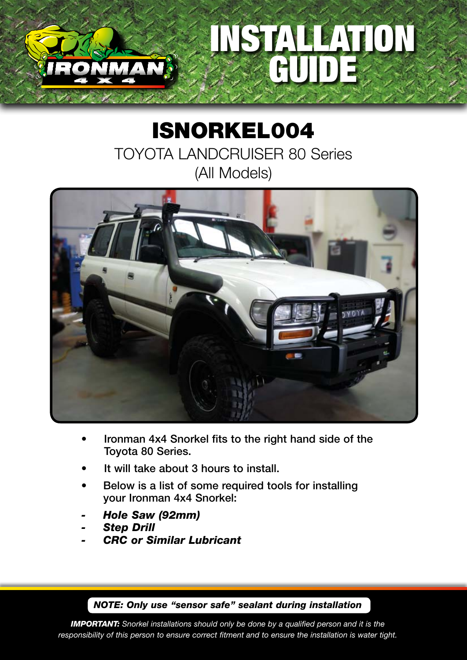

## ISNORKEL004 TOYOTA LANDCRUISER 80 Series (All Models)



- Ironman 4x4 Snorkel fits to the right hand side of the Toyota 80 Series.
- It will take about 3 hours to install.
- Below is a list of some required tools for installing your Ironman 4x4 Snorkel:
- *- Hole Saw (92mm)*
- *- Step Drill*
- *- CRC or Similar Lubricant*

*NOTE: Only use "sensor safe" sealant during installation*

*IMPORTANT: Snorkel installations should only be done by a qualified person and it is the responsibility of this person to ensure correct fitment and to ensure the installation is water tight.*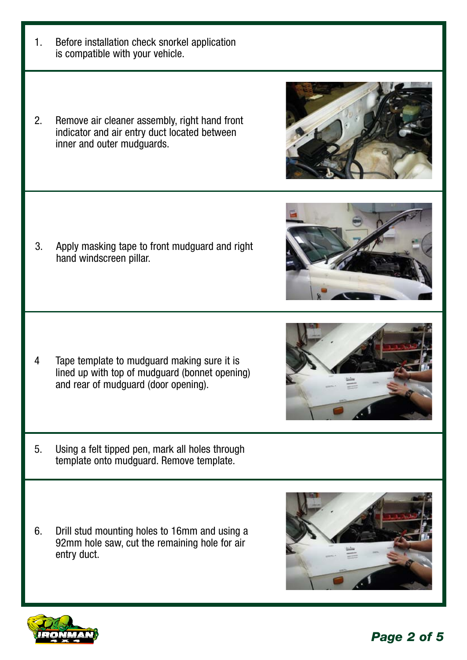

2. Remove air cleaner assembly, right hand front indicator and air entry duct located between inner and outer mudguards.

3. Apply masking tape to front mudguard and right hand windscreen pillar.

- 4 Tape template to mudguard making sure it is lined up with top of mudguard (bonnet opening) and rear of mudguard (door opening).
- 5. Using a felt tipped pen, mark all holes through template onto mudguard. Remove template.
- 6. Drill stud mounting holes to 16mm and using a 92mm hole saw, cut the remaining hole for air entry duct.









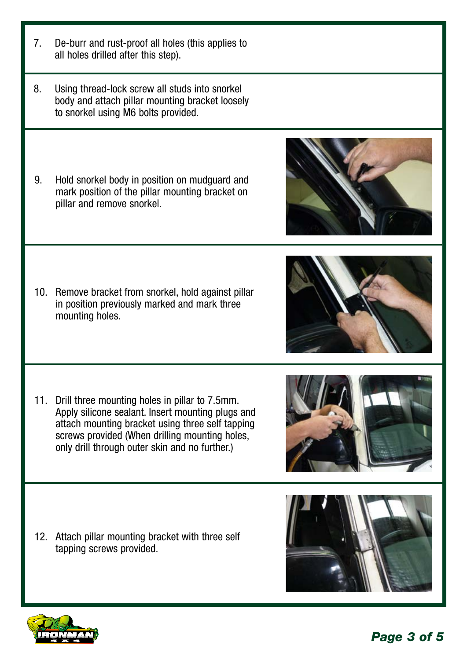- 7. De-burr and rust-proof all holes (this applies to all holes drilled after this step).
- 8. Using thread-lock screw all studs into snorkel body and attach pillar mounting bracket loosely to snorkel using M6 bolts provided.
- 9. Hold snorkel body in position on mudguard and mark position of the pillar mounting bracket on pillar and remove snorkel.

10. Remove bracket from snorkel, hold against pillar in position previously marked and mark three mounting holes.

11. Drill three mounting holes in pillar to 7.5mm. Apply silicone sealant. Insert mounting plugs and attach mounting bracket using three self tapping screws provided (When drilling mounting holes, only drill through outer skin and no further.)

12. Attach pillar mounting bracket with three self tapping screws provided.







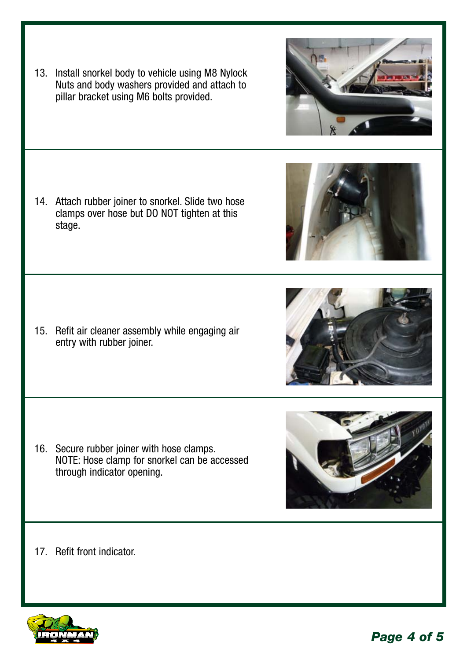*Page 4 of 5*

13. Install snorkel body to vehicle using M8 Nylock Nuts and body washers provided and attach to pillar bracket using M6 bolts provided.

14. Attach rubber joiner to snorkel. Slide two hose clamps over hose but DO NOT tighten at this stage.

15. Refit air cleaner assembly while engaging air entry with rubber joiner.

- 16. Secure rubber joiner with hose clamps. NOTE: Hose clamp for snorkel can be accessed through indicator opening.
- 17. Refit front indicator.